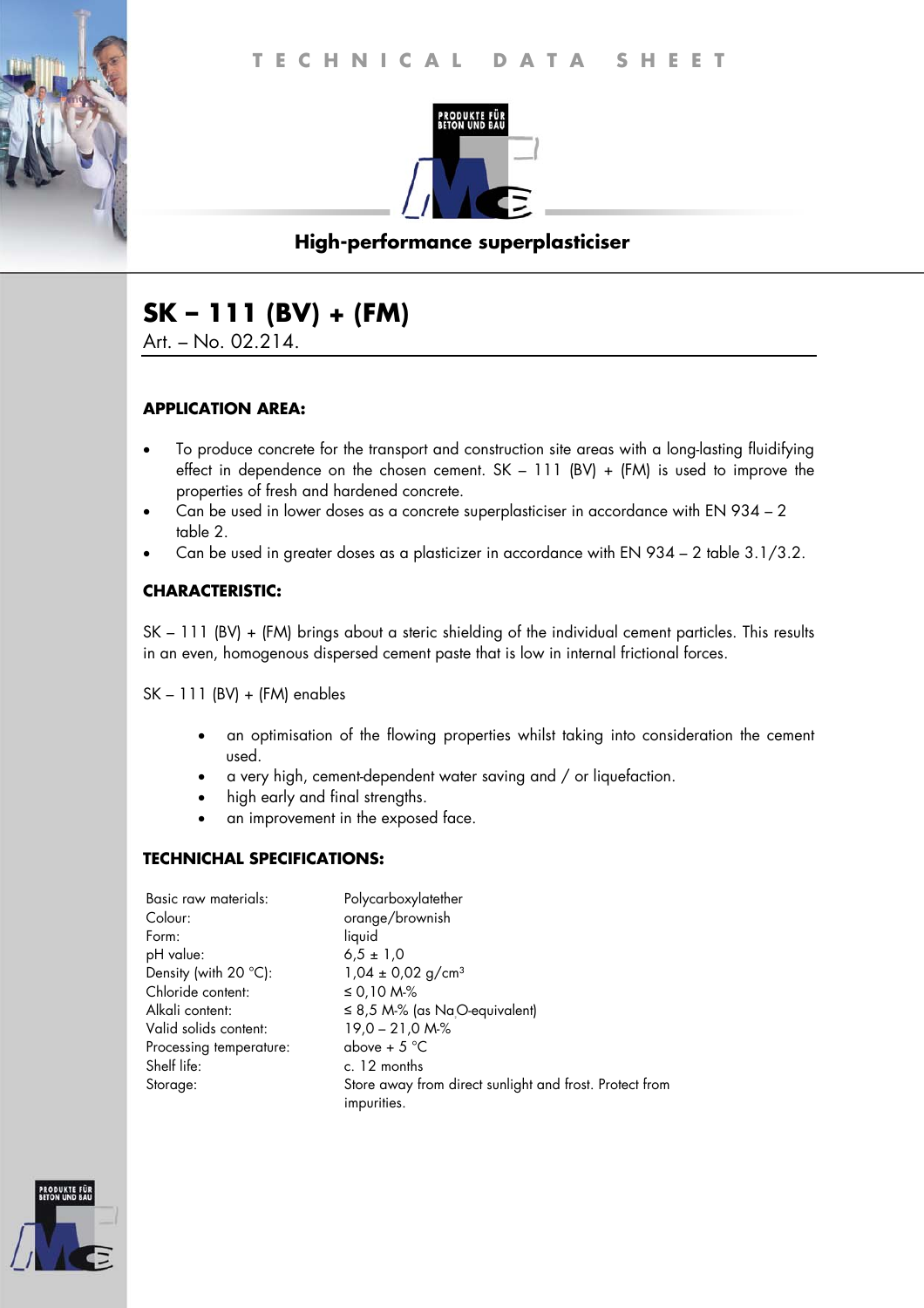

# **High-performance superplasticiser**

# **SK – 111 (BV) + (FM)**

Art. – No. 02.214.

#### **APPLICATION AREA:**

- To produce concrete for the transport and construction site areas with a long-lasting fluidifying effect in dependence on the chosen cement.  $SK - 111$  (BV) + (FM) is used to improve the properties of fresh and hardened concrete.
- Can be used in lower doses as a concrete superplasticiser in accordance with EN 934 2 table 2.
- Can be used in greater doses as a plasticizer in accordance with EN 934 2 table 3.1/3.2.

#### **CHARACTERISTIC:**

SK – 111 (BV) + (FM) brings about a steric shielding of the individual cement particles. This results in an even, homogenous dispersed cement paste that is low in internal frictional forces.

SK – 111 (BV) + (FM) enables

- an optimisation of the flowing properties whilst taking into consideration the cement used.
- a very high, cement-dependent water saving and / or liquefaction.
- high early and final strengths.
- an improvement in the exposed face.

#### **TECHNICHAL SPECIFICATIONS:**

| Basic raw materials:            | Polycarboxylatether                                     |
|---------------------------------|---------------------------------------------------------|
| Colour:                         | orange/brownish                                         |
| Form:                           | liquid                                                  |
| pH value:                       | $6.5 \pm 1.0$                                           |
| Density (with 20 $^{\circ}$ C): | $1,04 \pm 0,02$ g/cm <sup>3</sup>                       |
| Chloride content:               | ≤ 0,10 M-%                                              |
| Alkali content:                 | $\leq$ 8,5 M-% (as Na <sub>.</sub> O-equivalent)        |
| Valid solids content:           | $19,0 - 21,0 M-S$                                       |
| Processing temperature:         | above + $5^{\circ}$ C                                   |
| Shelf life:                     | c. 12 months                                            |
| Storage:                        | Store away from direct sunlight and frost. Protect from |
|                                 | impurities.                                             |